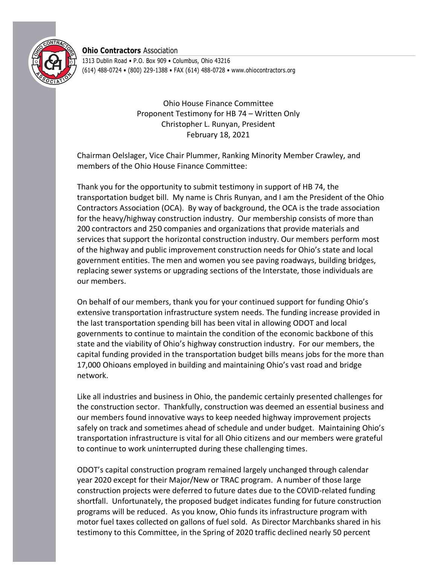

**Ohio Contractors** Association

1313 Dublin Road • P.O. Box 909 • Columbus, Ohio 43216 (614) 488-0724 • (800) 229-1388 • FAX (614) 488-0728 • www.ohiocontractors.org

> Ohio House Finance Committee Proponent Testimony for HB 74 – Written Only Christopher L. Runyan, President February 18, 2021

Chairman Oelslager, Vice Chair Plummer, Ranking Minority Member Crawley, and members of the Ohio House Finance Committee:

Thank you for the opportunity to submit testimony in support of HB 74, the transportation budget bill. My name is Chris Runyan, and I am the President of the Ohio Contractors Association (OCA). By way of background, the OCA is the trade association for the heavy/highway construction industry. Our membership consists of more than 200 contractors and 250 companies and organizations that provide materials and services that support the horizontal construction industry. Our members perform most of the highway and public improvement construction needs for Ohio's state and local government entities. The men and women you see paving roadways, building bridges, replacing sewer systems or upgrading sections of the Interstate, those individuals are our members.

On behalf of our members, thank you for your continued support for funding Ohio's extensive transportation infrastructure system needs. The funding increase provided in the last transportation spending bill has been vital in allowing ODOT and local governments to continue to maintain the condition of the economic backbone of this state and the viability of Ohio's highway construction industry. For our members, the capital funding provided in the transportation budget bills means jobs for the more than 17,000 Ohioans employed in building and maintaining Ohio's vast road and bridge network.

Like all industries and business in Ohio, the pandemic certainly presented challenges for the construction sector. Thankfully, construction was deemed an essential business and our members found innovative ways to keep needed highway improvement projects safely on track and sometimes ahead of schedule and under budget. Maintaining Ohio's transportation infrastructure is vital for all Ohio citizens and our members were grateful to continue to work uninterrupted during these challenging times.

ODOT's capital construction program remained largely unchanged through calendar year 2020 except for their Major/New or TRAC program. A number of those large construction projects were deferred to future dates due to the COVID-related funding shortfall. Unfortunately, the proposed budget indicates funding for future construction programs will be reduced. As you know, Ohio funds its infrastructure program with motor fuel taxes collected on gallons of fuel sold. As Director Marchbanks shared in his testimony to this Committee, in the Spring of 2020 traffic declined nearly 50 percent